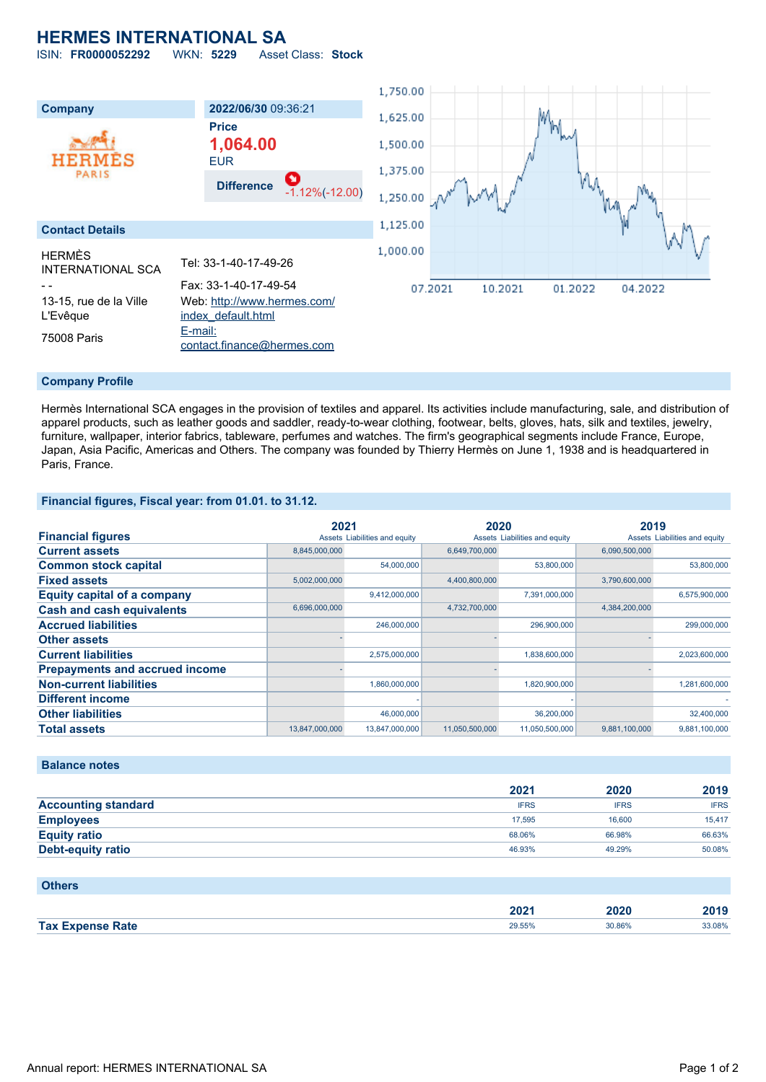## **HERMES INTERNATIONAL SA**

ISIN: **FR0000052292** WKN: **5229** Asset Class: **Stock**



#### **Company Profile**

Hermès International SCA engages in the provision of textiles and apparel. Its activities include manufacturing, sale, and distribution of apparel products, such as leather goods and saddler, ready-to-wear clothing, footwear, belts, gloves, hats, silk and textiles, jewelry, furniture, wallpaper, interior fabrics, tableware, perfumes and watches. The firm's geographical segments include France, Europe, Japan, Asia Pacific, Americas and Others. The company was founded by Thierry Hermès on June 1, 1938 and is headquartered in Paris, France.

#### **Financial figures, Fiscal year: from 01.01. to 31.12.**

|                                       |                | 2021                          |                | 2020                          |               | 2019                          |  |
|---------------------------------------|----------------|-------------------------------|----------------|-------------------------------|---------------|-------------------------------|--|
| <b>Financial figures</b>              |                | Assets Liabilities and equity |                | Assets Liabilities and equity |               | Assets Liabilities and equity |  |
| <b>Current assets</b>                 | 8,845,000,000  |                               | 6,649,700,000  |                               | 6,090,500,000 |                               |  |
| <b>Common stock capital</b>           |                | 54,000,000                    |                | 53,800,000                    |               | 53,800,000                    |  |
| <b>Fixed assets</b>                   | 5,002,000,000  |                               | 4,400,800,000  |                               | 3,790,600,000 |                               |  |
| <b>Equity capital of a company</b>    |                | 9,412,000,000                 |                | 7,391,000,000                 |               | 6,575,900,000                 |  |
| <b>Cash and cash equivalents</b>      | 6,696,000,000  |                               | 4,732,700,000  |                               | 4,384,200,000 |                               |  |
| <b>Accrued liabilities</b>            |                | 246,000,000                   |                | 296,900,000                   |               | 299,000,000                   |  |
| <b>Other assets</b>                   |                |                               |                |                               |               |                               |  |
| <b>Current liabilities</b>            |                | 2,575,000,000                 |                | 1,838,600,000                 |               | 2,023,600,000                 |  |
| <b>Prepayments and accrued income</b> |                |                               |                |                               |               |                               |  |
| <b>Non-current liabilities</b>        |                | 1,860,000,000                 |                | 1,820,900,000                 |               | 1,281,600,000                 |  |
| <b>Different income</b>               |                |                               |                |                               |               |                               |  |
| <b>Other liabilities</b>              |                | 46,000,000                    |                | 36,200,000                    |               | 32,400,000                    |  |
| <b>Total assets</b>                   | 13,847,000,000 | 13,847,000,000                | 11,050,500,000 | 11,050,500,000                | 9,881,100,000 | 9,881,100,000                 |  |

#### **Balance notes**

|                            | 2021        | 2020        | 2019        |
|----------------------------|-------------|-------------|-------------|
| <b>Accounting standard</b> | <b>IFRS</b> | <b>IFRS</b> | <b>IFRS</b> |
| <b>Employees</b>           | 17.595      | 16,600      | 15.417      |
| <b>Equity ratio</b>        | 68.06%      | 66.98%      | 66.63%      |
| <b>Debt-equity ratio</b>   | 46.93%      | 49.29%      | 50.08%      |

#### **Others**

|                    | 202 <sup>7</sup> | 2020<br>_____ | 2019   |
|--------------------|------------------|---------------|--------|
| <b>Tax</b><br>Rate | 29.55%           | 30.86%        | 33.08% |